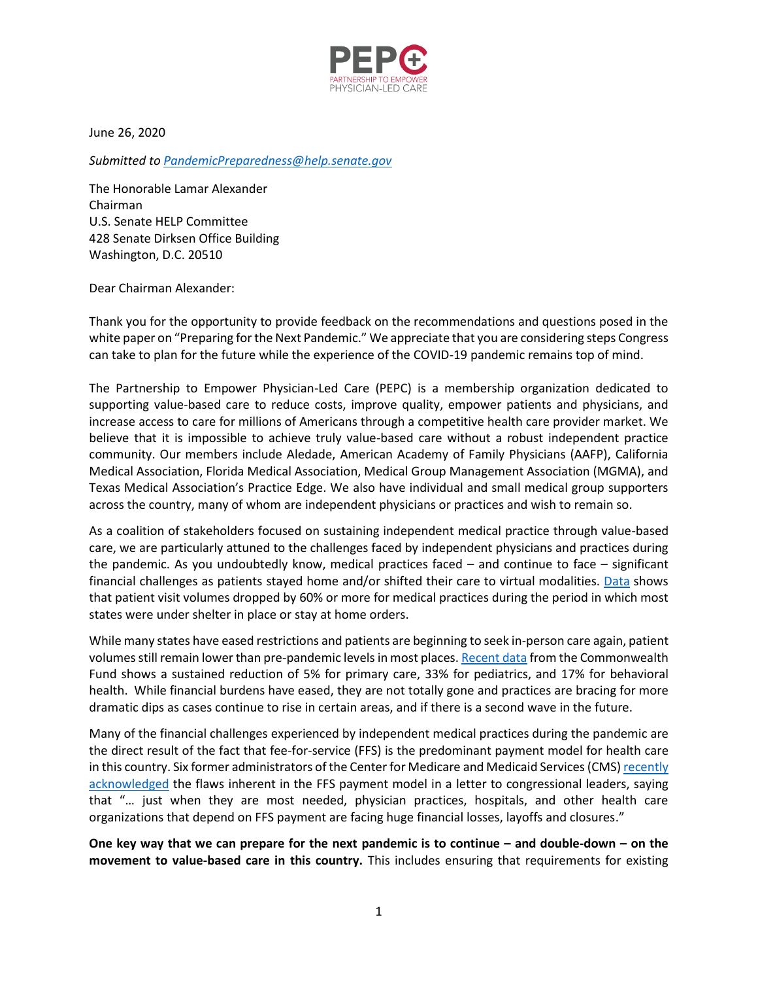

June 26, 2020

*Submitted to [PandemicPreparedness@help.senate.gov](mailto:PandemicPreparedness@help.senate.gov)*

The Honorable Lamar Alexander Chairman U.S. Senate HELP Committee 428 Senate Dirksen Office Building Washington, D.C. 20510

Dear Chairman Alexander:

Thank you for the opportunity to provide feedback on the recommendations and questions posed in the white paper on "Preparing for the Next Pandemic." We appreciate that you are considering steps Congress can take to plan for the future while the experience of the COVID-19 pandemic remains top of mind.

The Partnership to Empower Physician-Led Care (PEPC) is a membership organization dedicated to supporting value-based care to reduce costs, improve quality, empower patients and physicians, and increase access to care for millions of Americans through a competitive health care provider market. We believe that it is impossible to achieve truly value-based care without a robust independent practice community. Our members include Aledade, American Academy of Family Physicians (AAFP), California Medical Association, Florida Medical Association, Medical Group Management Association (MGMA), and Texas Medical Association's Practice Edge. We also have individual and small medical group supporters across the country, many of whom are independent physicians or practices and wish to remain so.

As a coalition of stakeholders focused on sustaining independent medical practice through value-based care, we are particularly attuned to the challenges faced by independent physicians and practices during the pandemic. As you undoubtedly know, medical practices faced – and continue to face – significant financial challenges as patients stayed home and/or shifted their care to virtual modalities. [Data](https://www.mgma.com/advocacy/advocacy-statements-letters/advocacy-statements/april-14,-2020-mgma-survey-sheds-light-on-dire-fi) shows that patient visit volumes dropped by 60% or more for medical practices during the period in which most states were under shelter in place or stay at home orders.

While many states have eased restrictions and patients are beginning to seek in-person care again, patient volumes still remain lower than pre-pandemic levels in most places[. Recent data](https://www.commonwealthfund.org/publications/2020/jun/impact-covid-19-pandemic-outpatient-visits-practices-adapting-new-normal) from the Commonwealth Fund shows a sustained reduction of 5% for primary care, 33% for pediatrics, and 17% for behavioral health. While financial burdens have eased, they are not totally gone and practices are bracing for more dramatic dips as cases continue to rise in certain areas, and if there is a second wave in the future.

Many of the financial challenges experienced by independent medical practices during the pandemic are the direct result of the fact that fee-for-service (FFS) is the predominant payment model for health care in this country. Six former administrators of the Center for Medicare and Medicaid Services (CMS[\) recently](https://www.pcpcc.org/sites/default/files/news_files/Letter-to-Congress-Leaders-CMS%20former%20heads-June%2010-2020.pdf)  [acknowledged](https://www.pcpcc.org/sites/default/files/news_files/Letter-to-Congress-Leaders-CMS%20former%20heads-June%2010-2020.pdf) the flaws inherent in the FFS payment model in a letter to congressional leaders, saying that "… just when they are most needed, physician practices, hospitals, and other health care organizations that depend on FFS payment are facing huge financial losses, layoffs and closures."

**One key way that we can prepare for the next pandemic is to continue – and double-down – on the movement to value-based care in this country.** This includes ensuring that requirements for existing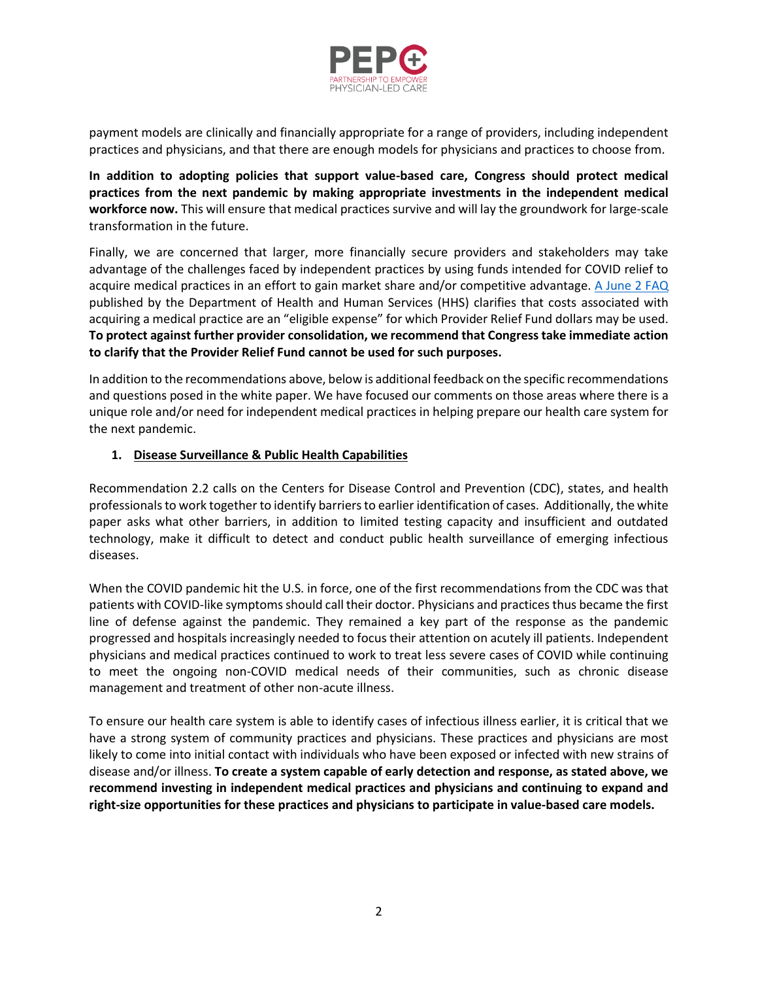

payment models are clinically and financially appropriate for a range of providers, including independent practices and physicians, and that there are enough models for physicians and practices to choose from.

**In addition to adopting policies that support value-based care, Congress should protect medical practices from the next pandemic by making appropriate investments in the independent medical workforce now.** This will ensure that medical practices survive and will lay the groundwork for large-scale transformation in the future.

Finally, we are concerned that larger, more financially secure providers and stakeholders may take advantage of the challenges faced by independent practices by using funds intended for COVID relief to acquire medical practices in an effort to gain market share and/or competitive advantage. A [June 2 FAQ](https://www.hhs.gov/sites/default/files/provider-relief-fund-general-distribution-faqs.pdf) published by the Department of Health and Human Services (HHS) clarifies that costs associated with acquiring a medical practice are an "eligible expense" for which Provider Relief Fund dollars may be used. **To protect against further provider consolidation, we recommend that Congress take immediate action to clarify that the Provider Relief Fund cannot be used for such purposes.**

In addition to the recommendations above, below is additional feedback on the specific recommendations and questions posed in the white paper. We have focused our comments on those areas where there is a unique role and/or need for independent medical practices in helping prepare our health care system for the next pandemic.

## **1. Disease Surveillance & Public Health Capabilities**

Recommendation 2.2 calls on the Centers for Disease Control and Prevention (CDC), states, and health professionals to work together to identify barriers to earlier identification of cases. Additionally, the white paper asks what other barriers, in addition to limited testing capacity and insufficient and outdated technology, make it difficult to detect and conduct public health surveillance of emerging infectious diseases.

When the COVID pandemic hit the U.S. in force, one of the first recommendations from the CDC was that patients with COVID-like symptoms should call their doctor. Physicians and practices thus became the first line of defense against the pandemic. They remained a key part of the response as the pandemic progressed and hospitals increasingly needed to focus their attention on acutely ill patients. Independent physicians and medical practices continued to work to treat less severe cases of COVID while continuing to meet the ongoing non-COVID medical needs of their communities, such as chronic disease management and treatment of other non-acute illness.

To ensure our health care system is able to identify cases of infectious illness earlier, it is critical that we have a strong system of community practices and physicians. These practices and physicians are most likely to come into initial contact with individuals who have been exposed or infected with new strains of disease and/or illness. **To create a system capable of early detection and response, as stated above, we recommend investing in independent medical practices and physicians and continuing to expand and right-size opportunities for these practices and physicians to participate in value-based care models.**